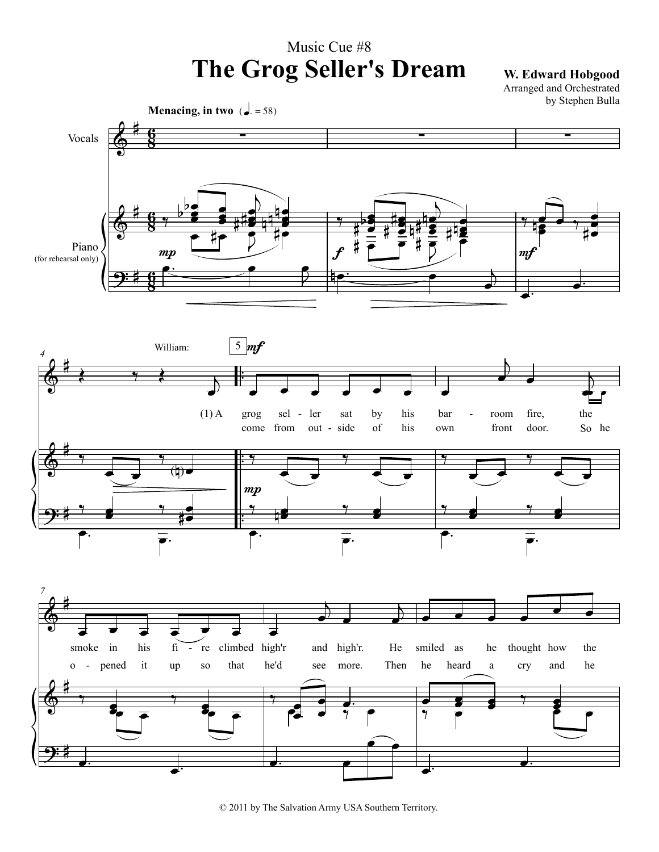## Music Cue #8 **The Grog Seller's Dream W. Edward Hobgood**

Arranged and Orchestrated by Stephen Bulla



<sup>© 2011</sup> by The Salvation Army USA Southern Territory.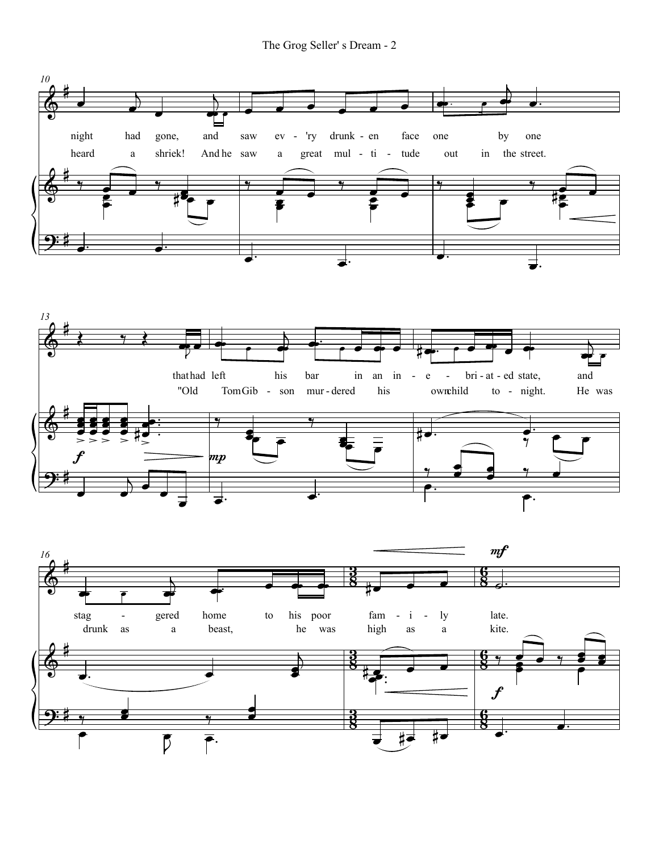The Grog Seller's Dream - 2

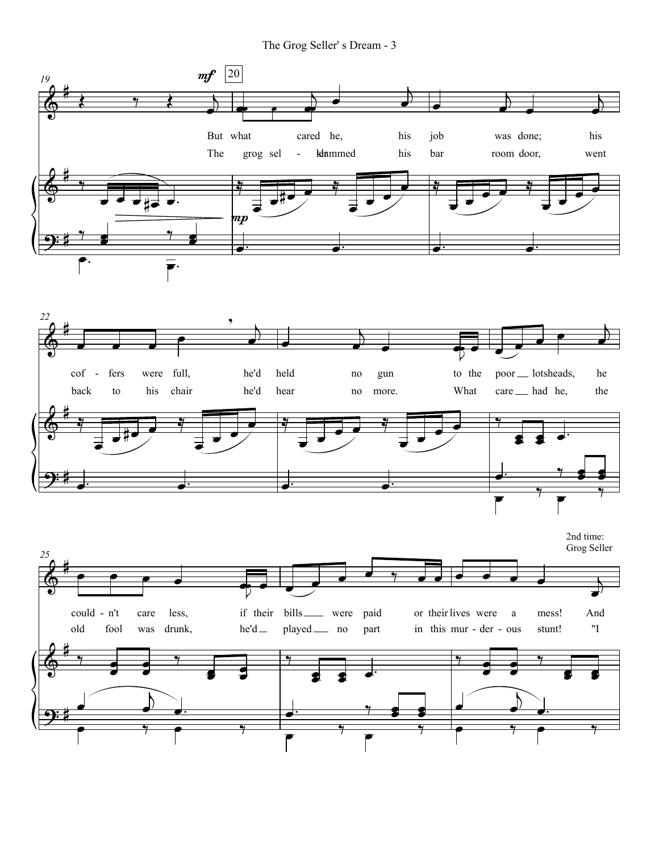The Grog Seller' s Dream - 3



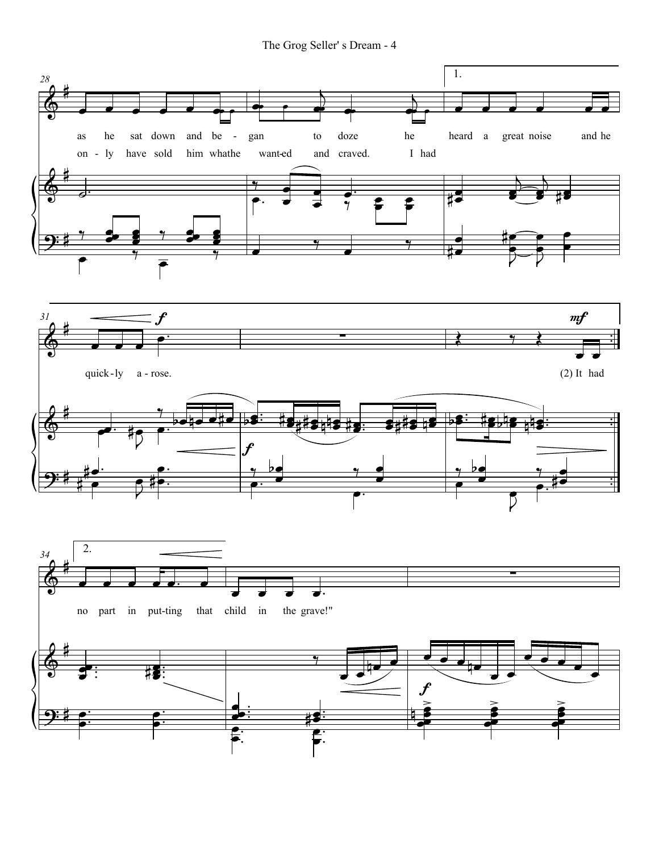The Grog Seller's Dream - 4

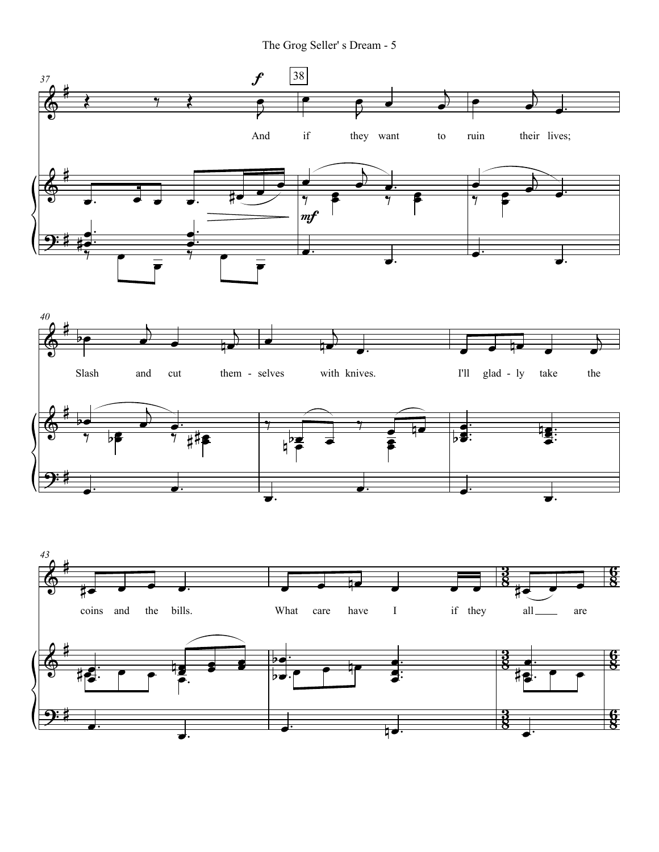The Grog Seller' s Dream - 5

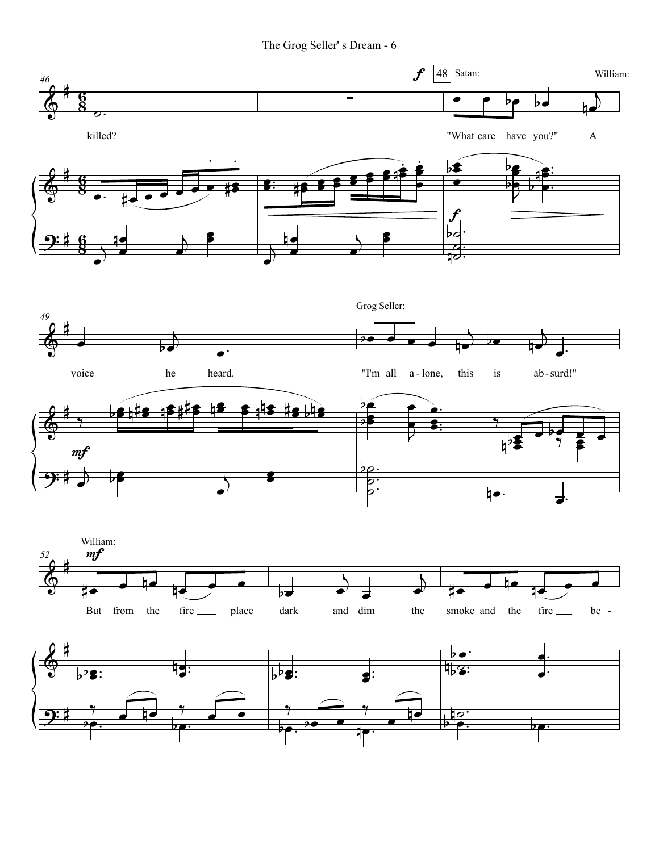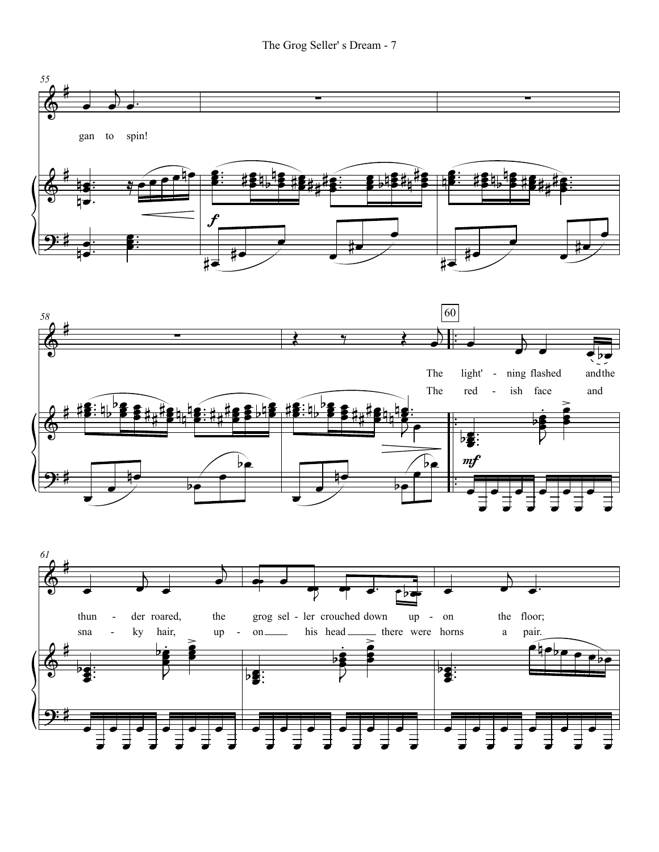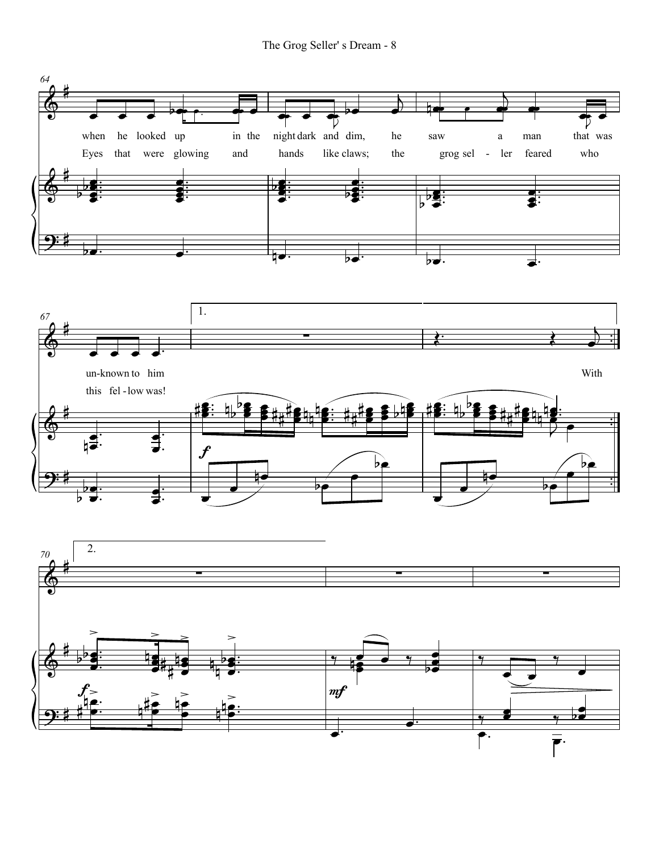The Grog Seller's Dream - 8

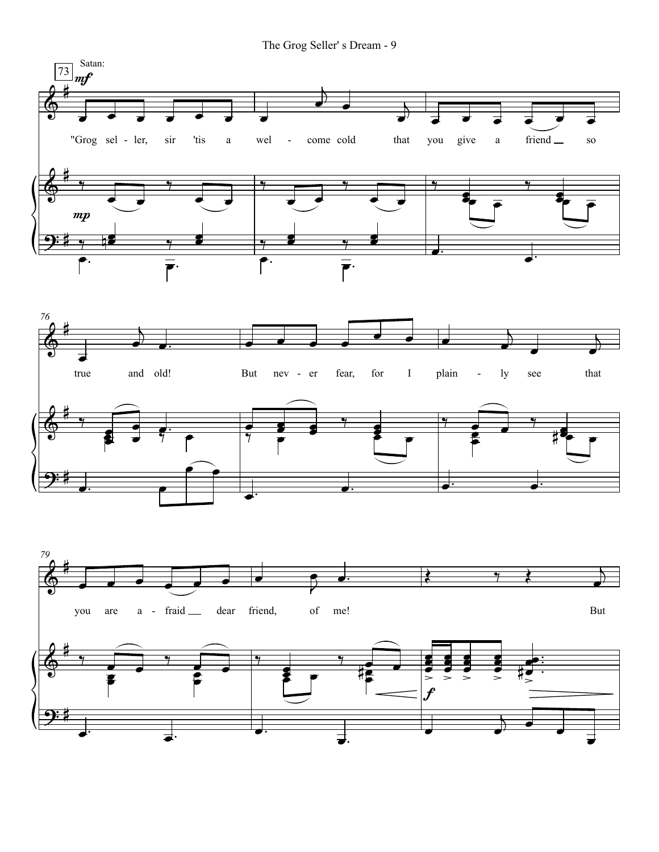The Grog Seller' s Dream - 9





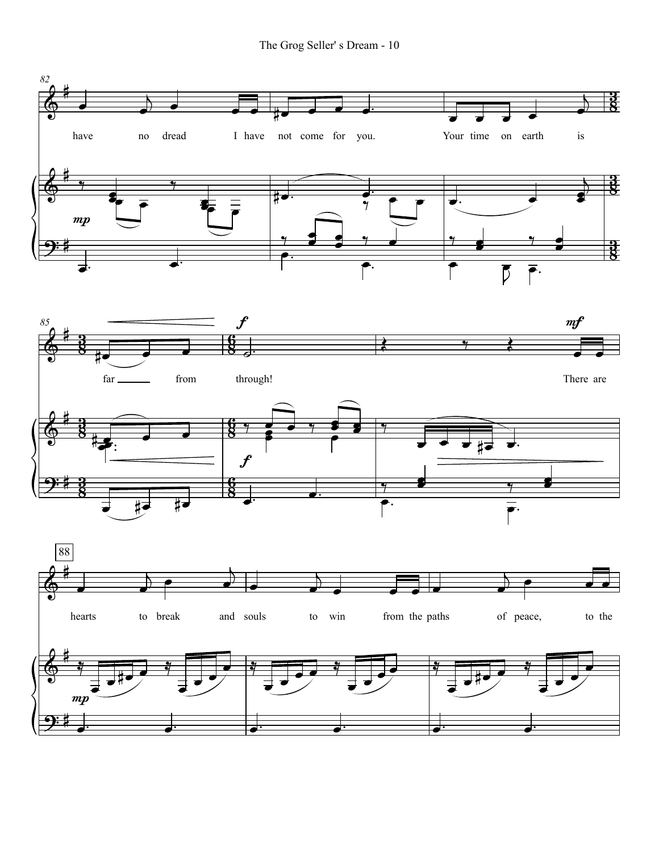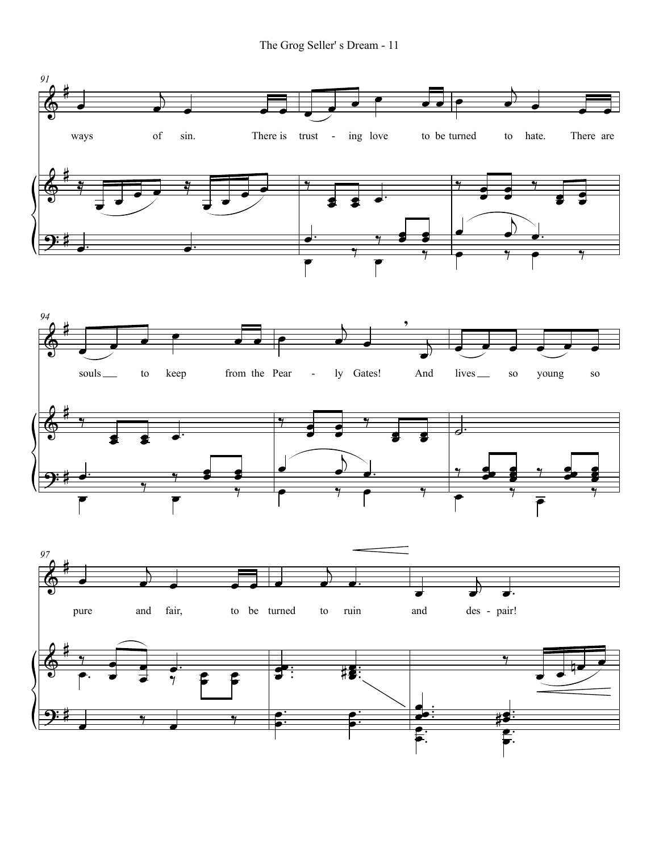The Grog Seller' s Dream - 11

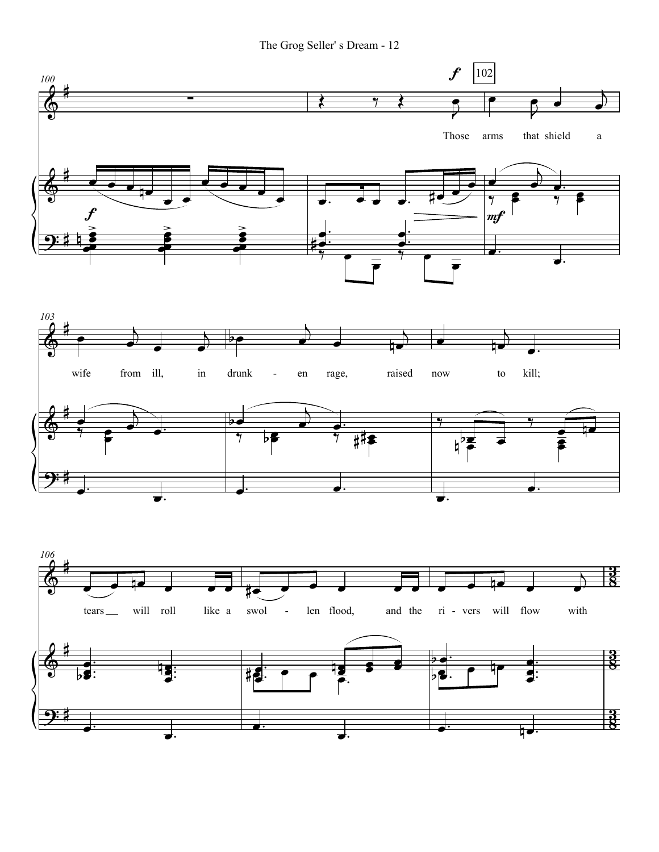The Grog Seller' s Dream - 12

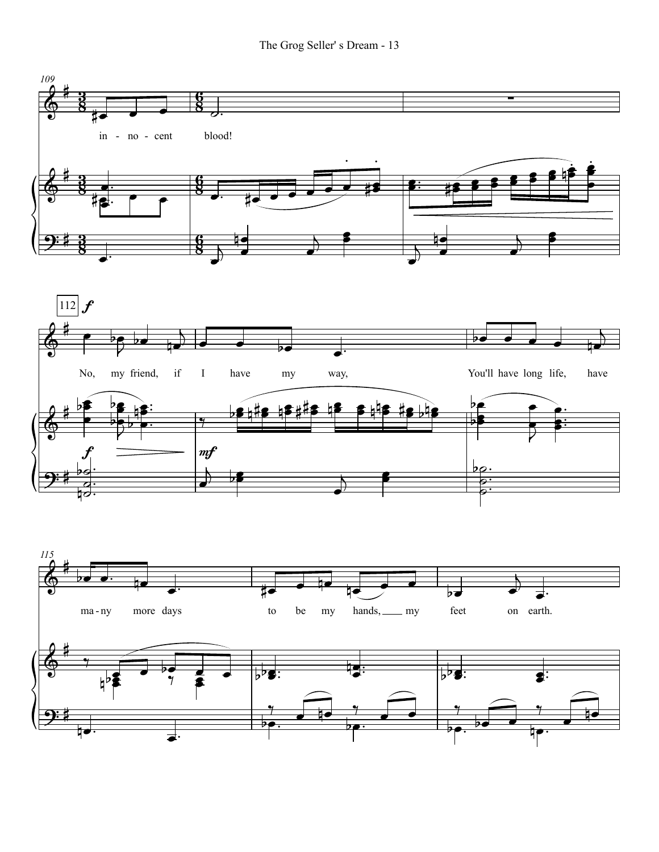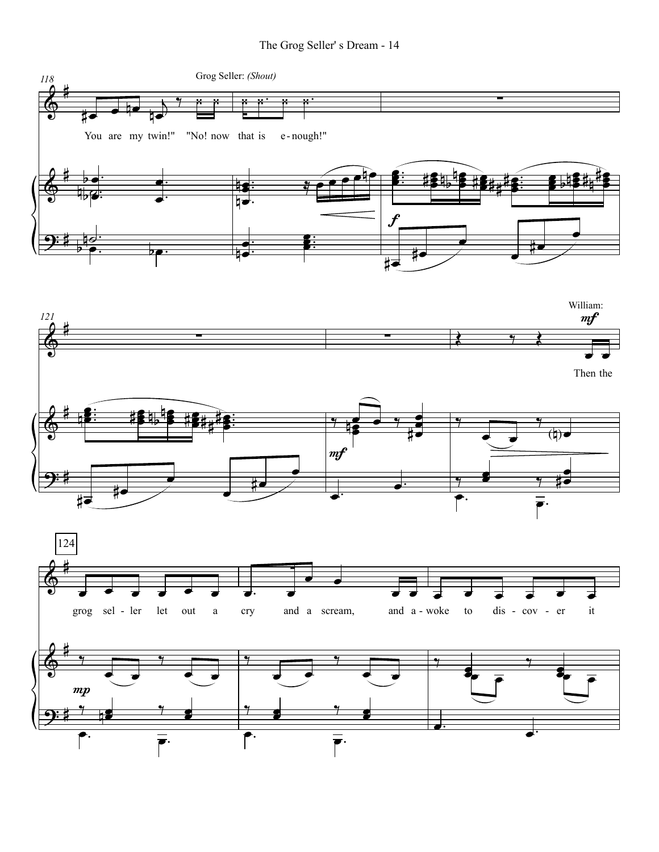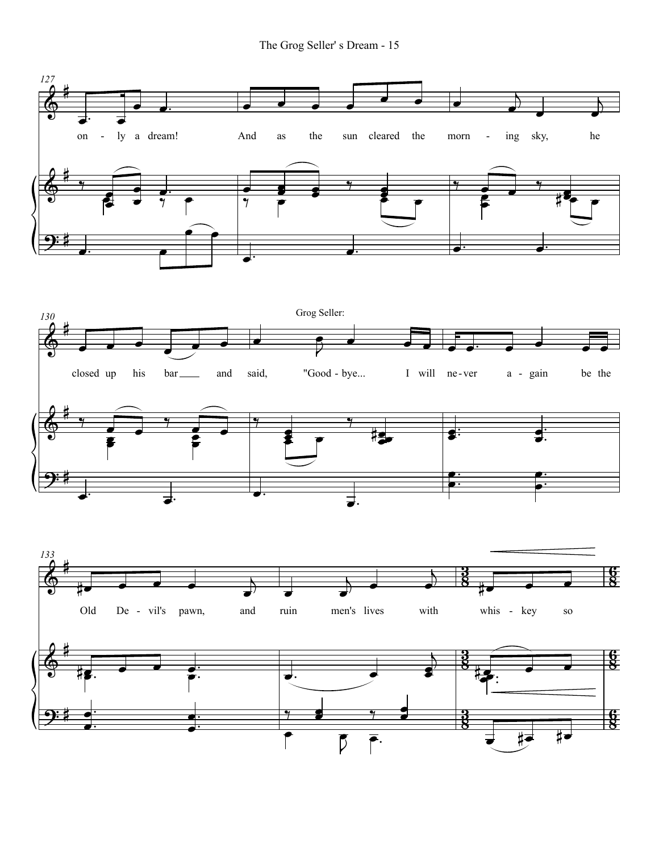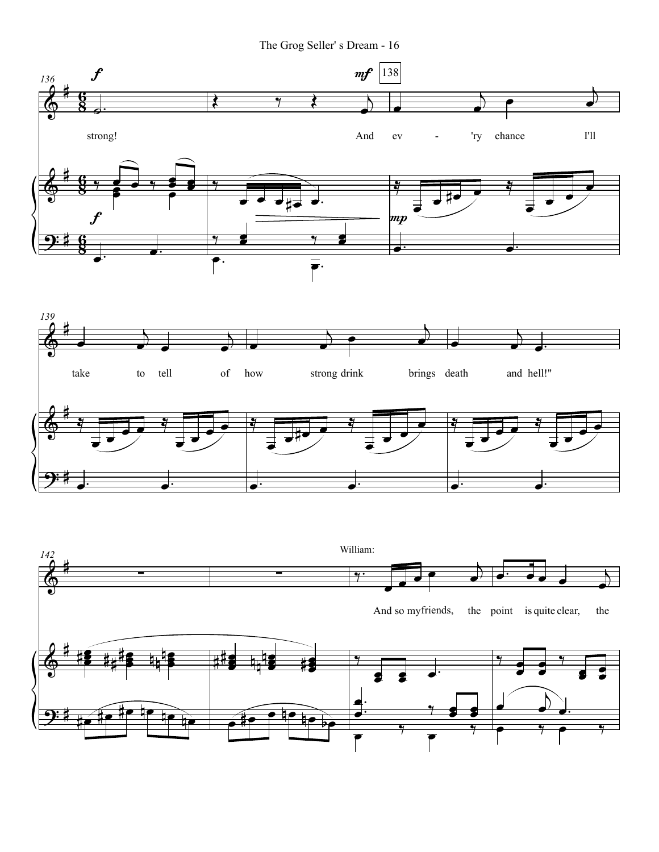The Grog Seller' s Dream - 16